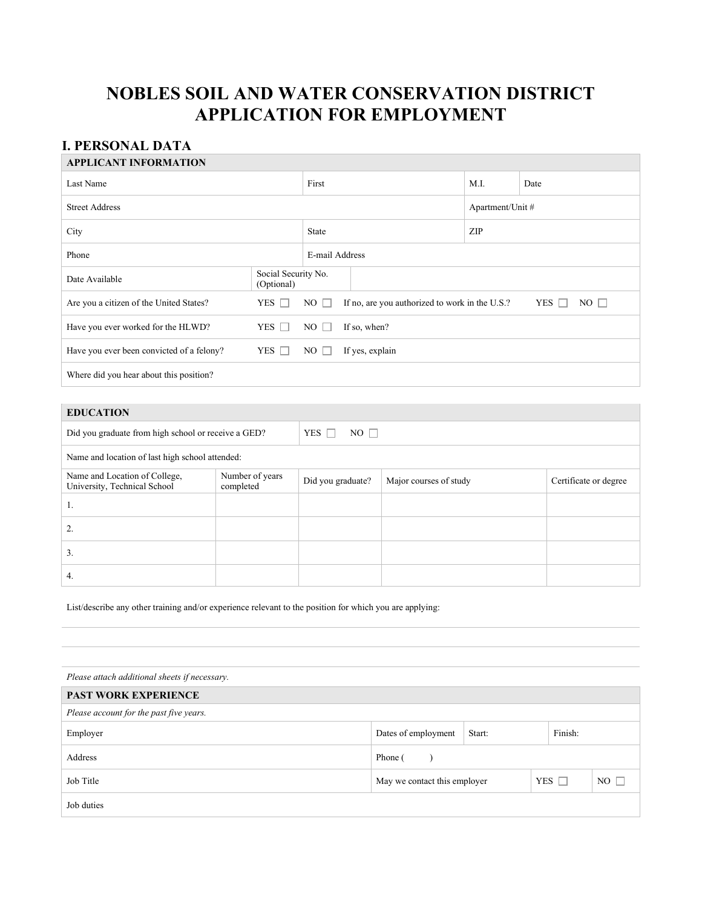# **NOBLES SOIL AND WATER CONSERVATION DISTRICT APPLICATION FOR EMPLOYMENT**

### **I. PERSONAL DATA**

#### **APPLICANT INFORMATION**

| Last Name                                 |              | First                  |                                                | M.I.             | Date                    |
|-------------------------------------------|--------------|------------------------|------------------------------------------------|------------------|-------------------------|
| <b>Street Address</b>                     |              |                        |                                                | Apartment/Unit # |                         |
| City                                      |              | <b>State</b>           |                                                | ZIP              |                         |
| Phone                                     |              |                        | E-mail Address                                 |                  |                         |
| Date Available                            | (Optional)   | Social Security No.    |                                                |                  |                         |
| Are you a citizen of the United States?   | YES $\Box$   | $NO \Box$              | If no, are you authorized to work in the U.S.? |                  | YES $\Box$<br>$NO \Box$ |
| Have you ever worked for the HLWD?        | $YES$ $\Box$ | $NO$                   | If so, when?                                   |                  |                         |
| Have you ever been convicted of a felony? | YES $\Box$   | If yes, explain<br>NO. |                                                |                  |                         |
| Where did you hear about this position?   |              |                        |                                                |                  |                         |

| <b>EDUCATION</b>                                              |                              |                         |                        |                       |  |
|---------------------------------------------------------------|------------------------------|-------------------------|------------------------|-----------------------|--|
| Did you graduate from high school or receive a GED?           |                              | YES $\Box$<br>$NO \Box$ |                        |                       |  |
| Name and location of last high school attended:               |                              |                         |                        |                       |  |
| Name and Location of College,<br>University, Technical School | Number of years<br>completed | Did you graduate?       | Major courses of study | Certificate or degree |  |
| 1.                                                            |                              |                         |                        |                       |  |
| 2.                                                            |                              |                         |                        |                       |  |
| 3.                                                            |                              |                         |                        |                       |  |
| 4.                                                            |                              |                         |                        |                       |  |

List/describe any other training and/or experience relevant to the position for which you are applying:

| Please attach additional sheets if necessary. |                              |        |            |              |
|-----------------------------------------------|------------------------------|--------|------------|--------------|
| <b>PAST WORK EXPERIENCE</b>                   |                              |        |            |              |
| Please account for the past five years.       |                              |        |            |              |
| Employer                                      | Dates of employment          | Start: | Finish:    |              |
| Address                                       | Phone (                      |        |            |              |
| Job Title                                     | May we contact this employer |        | YES $\Box$ | $NO \square$ |
| Job duties                                    |                              |        |            |              |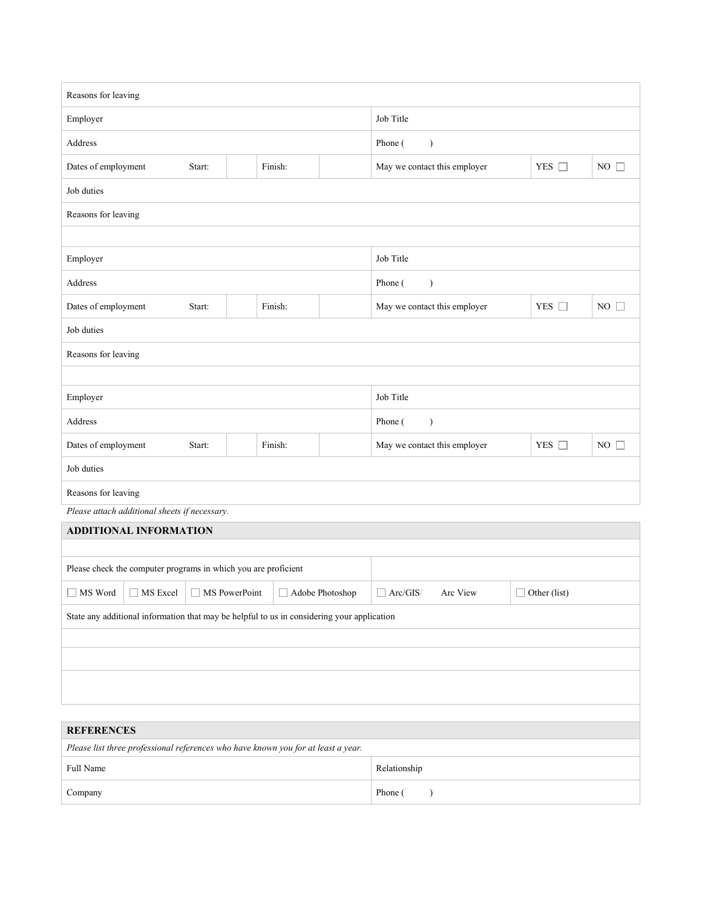| Reasons for leaving                                                                        |        |         |                          |                                         |                     |              |  |
|--------------------------------------------------------------------------------------------|--------|---------|--------------------------|-----------------------------------------|---------------------|--------------|--|
| Employer                                                                                   |        |         | Job Title                |                                         |                     |              |  |
| Address                                                                                    |        |         | Phone (<br>$\lambda$     |                                         |                     |              |  |
| Dates of employment                                                                        | Start: | Finish: |                          | May we contact this employer            | YES $\Box$          | $NO \Box$    |  |
| Job duties                                                                                 |        |         |                          |                                         |                     |              |  |
| Reasons for leaving                                                                        |        |         |                          |                                         |                     |              |  |
|                                                                                            |        |         |                          |                                         |                     |              |  |
| Employer                                                                                   |        |         |                          | Job Title                               |                     |              |  |
| Address                                                                                    |        |         |                          | Phone (<br>$\mathcal{L}$                |                     |              |  |
| Dates of employment                                                                        | Start: | Finish: |                          | May we contact this employer            | YES $\Box$          | NO $\square$ |  |
| Job duties                                                                                 |        |         |                          |                                         |                     |              |  |
| Reasons for leaving                                                                        |        |         |                          |                                         |                     |              |  |
|                                                                                            |        |         |                          |                                         |                     |              |  |
| Employer                                                                                   |        |         |                          | Job Title                               |                     |              |  |
| Address                                                                                    |        |         | Phone (<br>$\mathcal{E}$ |                                         |                     |              |  |
| Dates of employment                                                                        | Start: | Finish: |                          | May we contact this employer            | YES $\Box$          | $NO \Box$    |  |
| Job duties                                                                                 |        |         |                          |                                         |                     |              |  |
| Reasons for leaving                                                                        |        |         |                          |                                         |                     |              |  |
| Please attach additional sheets if necessary.                                              |        |         |                          |                                         |                     |              |  |
| <b>ADDITIONAL INFORMATION</b>                                                              |        |         |                          |                                         |                     |              |  |
|                                                                                            |        |         |                          |                                         |                     |              |  |
| Please check the computer programs in which you are proficient                             |        |         |                          |                                         |                     |              |  |
| $\Box$ MS Word $\Box$ MS Excel $\Box$ MS PowerPoint                                        |        |         | Adobe Photoshop          | $\boxed{\phantom{1}}$ Arc/GIS/ Arc View | $\Box$ Other (list) |              |  |
| State any additional information that may be helpful to us in considering your application |        |         |                          |                                         |                     |              |  |
|                                                                                            |        |         |                          |                                         |                     |              |  |
|                                                                                            |        |         |                          |                                         |                     |              |  |
|                                                                                            |        |         |                          |                                         |                     |              |  |
|                                                                                            |        |         |                          |                                         |                     |              |  |
| <b>REFERENCES</b>                                                                          |        |         |                          |                                         |                     |              |  |
| Please list three professional references who have known you for at least a year.          |        |         |                          |                                         |                     |              |  |
| Full Name                                                                                  |        |         | Relationship             |                                         |                     |              |  |
| Company                                                                                    |        |         | Phone (<br>$\mathcal{E}$ |                                         |                     |              |  |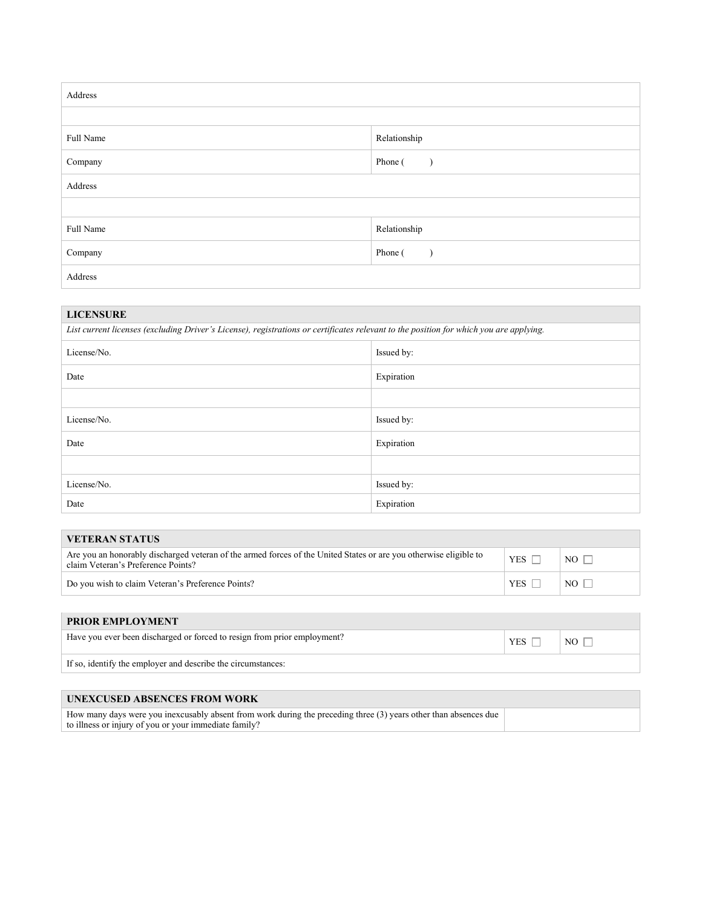| Address   |                          |  |
|-----------|--------------------------|--|
|           |                          |  |
| Full Name | Relationship             |  |
| Company   | Phone (<br>$\rightarrow$ |  |
| Address   |                          |  |
|           |                          |  |
| Full Name | Relationship             |  |
| Company   | Phone (<br>$\lambda$     |  |
| Address   |                          |  |

### **LICENSURE**

| List current licenses (excluding Driver's License), registrations or certificates relevant to the position for which you are applying. |            |  |
|----------------------------------------------------------------------------------------------------------------------------------------|------------|--|
| License/No.                                                                                                                            | Issued by: |  |
| Date                                                                                                                                   | Expiration |  |
|                                                                                                                                        |            |  |
| License/No.                                                                                                                            | Issued by: |  |
| Date                                                                                                                                   | Expiration |  |
|                                                                                                                                        |            |  |
| License/No.                                                                                                                            | Issued by: |  |
| Date                                                                                                                                   | Expiration |  |

| <b>VETERAN STATUS</b>                                                                                                                                   |            |                 |
|---------------------------------------------------------------------------------------------------------------------------------------------------------|------------|-----------------|
| Are you an honorably discharged veteran of the armed forces of the United States or are you otherwise eligible to<br>claim Veteran's Preference Points? | YES        | NO $\Gamma$     |
| Do you wish to claim Veteran's Preference Points?                                                                                                       | <b>YES</b> | NO <sub>1</sub> |

## **PRIOR EMPLOYMENT** Have you ever been discharged or forced to resign from prior employment?  $YES \Box \Box$  NO  $\Box$ If so, identify the employer and describe the circumstances:

| UNEXCUSED ABSENCES FROM WORK                                                                                                                                              |  |
|---------------------------------------------------------------------------------------------------------------------------------------------------------------------------|--|
| How many days were you inexcusably absent from work during the preceding three (3) years other than absences due<br>to illness or injury of you or your immediate family? |  |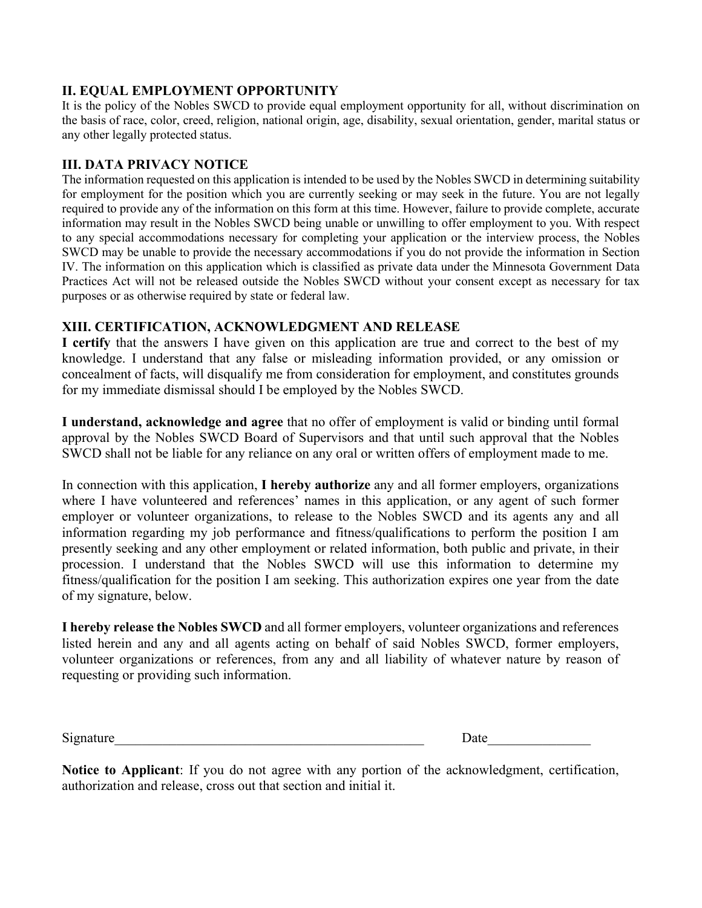### **II. EQUAL EMPLOYMENT OPPORTUNITY**

It is the policy of the Nobles SWCD to provide equal employment opportunity for all, without discrimination on the basis of race, color, creed, religion, national origin, age, disability, sexual orientation, gender, marital status or any other legally protected status.

### **III. DATA PRIVACY NOTICE**

The information requested on this application is intended to be used by the Nobles SWCD in determining suitability for employment for the position which you are currently seeking or may seek in the future. You are not legally required to provide any of the information on this form at this time. However, failure to provide complete, accurate information may result in the Nobles SWCD being unable or unwilling to offer employment to you. With respect to any special accommodations necessary for completing your application or the interview process, the Nobles SWCD may be unable to provide the necessary accommodations if you do not provide the information in Section IV. The information on this application which is classified as private data under the Minnesota Government Data Practices Act will not be released outside the Nobles SWCD without your consent except as necessary for tax purposes or as otherwise required by state or federal law.

### **XIII. CERTIFICATION, ACKNOWLEDGMENT AND RELEASE**

**I certify** that the answers I have given on this application are true and correct to the best of my knowledge. I understand that any false or misleading information provided, or any omission or concealment of facts, will disqualify me from consideration for employment, and constitutes grounds for my immediate dismissal should I be employed by the Nobles SWCD.

**I understand, acknowledge and agree** that no offer of employment is valid or binding until formal approval by the Nobles SWCD Board of Supervisors and that until such approval that the Nobles SWCD shall not be liable for any reliance on any oral or written offers of employment made to me.

In connection with this application, **I hereby authorize** any and all former employers, organizations where I have volunteered and references' names in this application, or any agent of such former employer or volunteer organizations, to release to the Nobles SWCD and its agents any and all information regarding my job performance and fitness/qualifications to perform the position I am presently seeking and any other employment or related information, both public and private, in their procession. I understand that the Nobles SWCD will use this information to determine my fitness/qualification for the position I am seeking. This authorization expires one year from the date of my signature, below.

**I hereby release the Nobles SWCD** and all former employers, volunteer organizations and references listed herein and any and all agents acting on behalf of said Nobles SWCD, former employers, volunteer organizations or references, from any and all liability of whatever nature by reason of requesting or providing such information.

Signature **Example 2** and the set of the set of the set of the set of the set of the set of the set of the set of the set of the set of the set of the set of the set of the set of the set of the set of the set of the set o

**Notice to Applicant**: If you do not agree with any portion of the acknowledgment, certification, authorization and release, cross out that section and initial it.